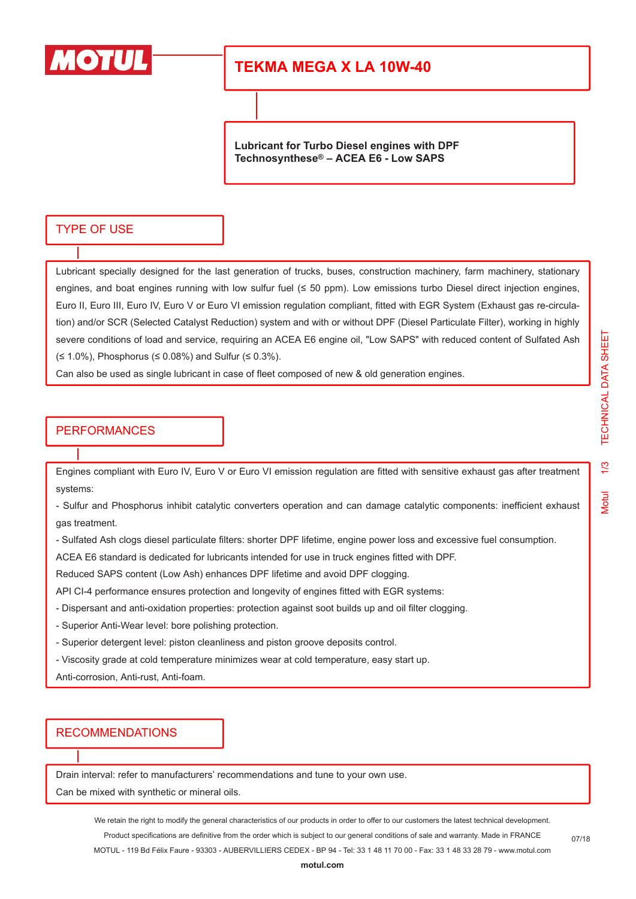

# **TEKMA MEGA X LA 10W-40**

**Lubricant for Turbo Diesel engines with DPF Technosynthese® – ACEA E6 - Low SAPS**

#### TYPE OF USE

Lubricant specially designed for the last generation of trucks, buses, construction machinery, farm machinery, stationary engines, and boat engines running with low sulfur fuel (≤ 50 ppm). Low emissions turbo Diesel direct injection engines, Euro II, Euro III, Euro IV, Euro V or Euro VI emission regulation compliant, fitted with EGR System (Exhaust gas re-circulation) and/or SCR (Selected Catalyst Reduction) system and with or without DPF (Diesel Particulate Filter), working in highly severe conditions of load and service, requiring an ACEA E6 engine oil, "Low SAPS" with reduced content of Sulfated Ash (≤ 1.0%), Phosphorus (≤ 0.08%) and Sulfur (≤ 0.3%).

Can also be used as single lubricant in case of fleet composed of new & old generation engines.

### **PERFORMANCES**

Engines compliant with Euro IV, Euro V or Euro VI emission regulation are fitted with sensitive exhaust gas after treatment systems:

- Sulfur and Phosphorus inhibit catalytic converters operation and can damage catalytic components: inefficient exhaust gas treatment.

- Sulfated Ash clogs diesel particulate filters: shorter DPF lifetime, engine power loss and excessive fuel consumption.

ACEA E6 standard is dedicated for lubricants intended for use in truck engines fitted with DPF.

Reduced SAPS content (Low Ash) enhances DPF lifetime and avoid DPF clogging.

API CI-4 performance ensures protection and longevity of engines fitted with EGR systems:

- Dispersant and anti-oxidation properties: protection against soot builds up and oil filter clogging.
- Superior Anti-Wear level: bore polishing protection.
- Superior detergent level: piston cleanliness and piston groove deposits control.
- Viscosity grade at cold temperature minimizes wear at cold temperature, easy start up.

Anti-corrosion, Anti-rust, Anti-foam.

#### RECOMMENDATIONS

Drain interval: refer to manufacturers' recommendations and tune to your own use.

Can be mixed with synthetic or mineral oils.

We retain the right to modify the general characteristics of our products in order to offer to our customers the latest technical development. Product specifications are definitive from the order which is subject to our general conditions of sale and warranty. Made in FRANCE MOTUL - 119 Bd Félix Faure - 93303 - AUBERVILLIERS CEDEX - BP 94 - Tel: 33 1 48 11 70 00 - Fax: 33 1 48 33 28 79 - www.motul.com Vlotul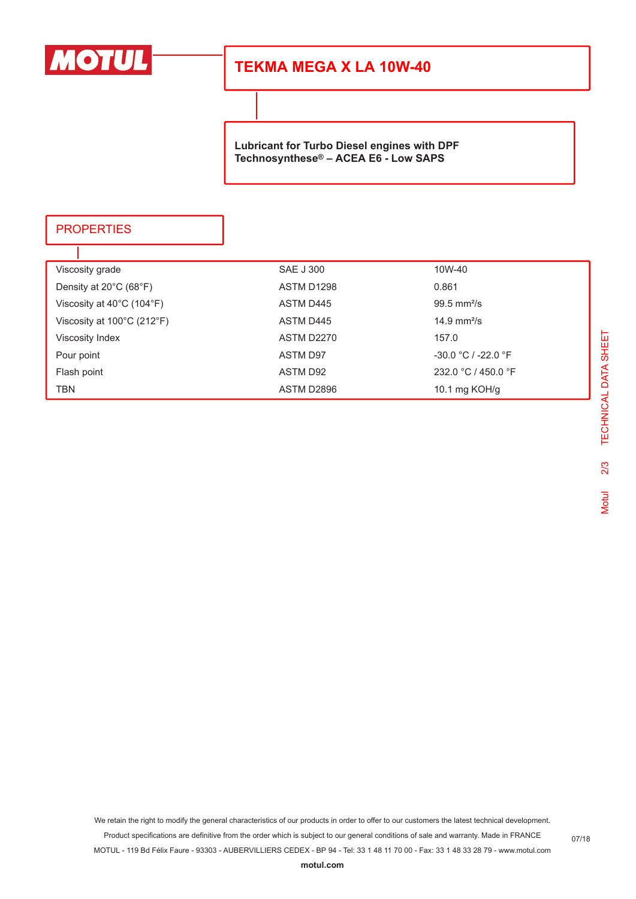

# **TEKMA MEGA X LA 10W-40**

**Lubricant for Turbo Diesel engines with DPF Technosynthese® – ACEA E6 - Low SAPS**

### **PROPERTIES**

T

| Viscosity grade                                 | <b>SAE J 300</b> | 10W-40                       |
|-------------------------------------------------|------------------|------------------------------|
| Density at $20^{\circ}$ C (68 $^{\circ}$ F)     | ASTM D1298       | 0.861                        |
| Viscosity at $40^{\circ}$ C (104 $^{\circ}$ F)  | ASTM D445        | $99.5 \text{ mm}^2/\text{s}$ |
| Viscosity at $100^{\circ}$ C (212 $^{\circ}$ F) | ASTM D445        | 14.9 $mm^2/s$                |
| <b>Viscosity Index</b>                          | ASTM D2270       | 157.0                        |
| Pour point                                      | ASTM D97         | $-30.0 °C / -22.0 °F$        |
| Flash point                                     | ASTM D92         | 232.0 °C / 450.0 °F          |
| TBN                                             | ASTM D2896       | 10.1 mg $KOH/g$              |

We retain the right to modify the general characteristics of our products in order to offer to our customers the latest technical development.

Product specifications are definitive from the order which is subject to our general conditions of sale and warranty. Made in FRANCE

MOTUL - 119 Bd Félix Faure - 93303 - AUBERVILLIERS CEDEX - BP 94 - Tel: 33 1 48 11 70 00 - Fax: 33 1 48 33 28 79 - www.motul.com

07/18